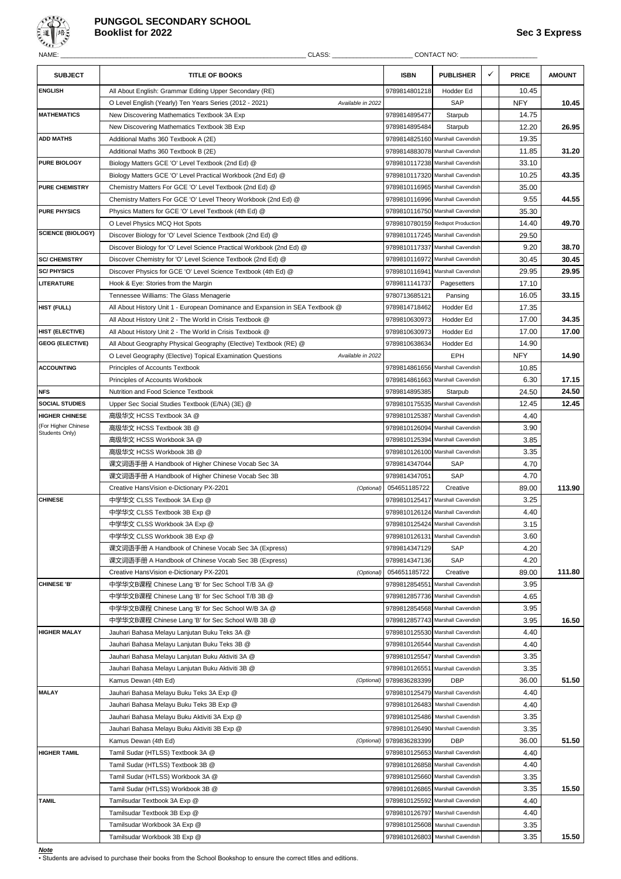

# **PUNGGOL SECONDARY SCHOOL Booklist for 2022 Sec 3 Express**

| NAME:                                 | CLASS:                                                                          |                          | CONTACT NO:                      |              |              |               |
|---------------------------------------|---------------------------------------------------------------------------------|--------------------------|----------------------------------|--------------|--------------|---------------|
| <b>SUBJECT</b>                        | <b>TITLE OF BOOKS</b>                                                           | <b>ISBN</b>              | PUBLISHER                        | $\checkmark$ | <b>PRICE</b> | <b>AMOUNT</b> |
| <b>ENGLISH</b>                        | All About English: Grammar Editing Upper Secondary (RE)                         | 9789814801218            | Hodder Ed                        |              | 10.45        |               |
|                                       | Available in 2022<br>O Level English (Yearly) Ten Years Series (2012 - 2021)    | SAP                      |                                  | <b>NFY</b>   | 10.45        |               |
| <b>MATHEMATICS</b>                    | New Discovering Mathematics Textbook 3A Exp                                     | 9789814895477            | Starpub                          |              | 14.75        |               |
|                                       | New Discovering Mathematics Textbook 3B Exp                                     | 9789814895484            | Starpub                          |              | 12.20        | 26.95         |
| <b>ADD MATHS</b>                      | Additional Maths 360 Textbook A (2E)                                            |                          | 9789814825160 Marshall Cavendish |              | 19.35        |               |
|                                       | Additional Maths 360 Textbook B (2E)                                            |                          | 9789814883078 Marshall Cavendish |              | 11.85        | 31.20         |
| PURE BIOLOGY                          | Biology Matters GCE 'O' Level Textbook (2nd Ed) @                               |                          | 9789810117238 Marshall Cavendish |              | 33.10        |               |
|                                       | Biology Matters GCE 'O' Level Practical Workbook (2nd Ed) @                     |                          | 9789810117320 Marshall Cavendish |              | 10.25        | 43.35         |
| <b>PURE CHEMISTRY</b>                 | Chemistry Matters For GCE 'O' Level Textbook (2nd Ed) @                         |                          | 9789810116965 Marshall Cavendish |              | 35.00        |               |
|                                       | Chemistry Matters For GCE 'O' Level Theory Workbook (2nd Ed) @                  |                          | 9789810116996 Marshall Cavendish |              | 9.55         | 44.55         |
| <b>PURE PHYSICS</b>                   | Physics Matters for GCE 'O' Level Textbook (4th Ed) @                           |                          | 9789810116750 Marshall Cavendish |              | 35.30        |               |
|                                       | O Level Physics MCQ Hot Spots                                                   |                          | 9789810780159 Redspot Production |              | 14.40        | 49.70         |
| <b>SCIENCE (BIOLOGY)</b>              | Discover Biology for 'O' Level Science Textbook (2nd Ed) @                      |                          | 9789810117245 Marshall Cavendish |              | 29.50        |               |
|                                       | Discover Biology for 'O' Level Science Practical Workbook (2nd Ed) @            |                          | 9789810117337 Marshall Cavendish |              | 9.20         | 38.70         |
| <b>SC/ CHEMISTRY</b>                  | Discover Chemistry for 'O' Level Science Textbook (2nd Ed) @                    |                          | 9789810116972 Marshall Cavendish |              | 30.45        | 30.45         |
| <b>SC/PHYSICS</b>                     | Discover Physics for GCE 'O' Level Science Textbook (4th Ed) @                  |                          | 9789810116941 Marshall Cavendish |              | 29.95        | 29.95         |
| <b>LITERATURE</b>                     | Hook & Eye: Stories from the Margin                                             | 9789811141737            | Pagesetters                      |              | 17.10        |               |
|                                       | Tennessee Williams: The Glass Menagerie                                         | 9780713685121            |                                  |              |              | 33.15         |
|                                       |                                                                                 |                          | Pansing<br>Hodder Ed             |              | 16.05        |               |
| <b>HIST (FULL)</b>                    | All About History Unit 1 - European Dominance and Expansion in SEA Textbook @   | 9789814718462            |                                  |              | 17.35        |               |
|                                       | All About History Unit 2 - The World in Crisis Textbook @                       | 9789810630973            | Hodder Ed                        |              | 17.00        | 34.35         |
| HIST (ELECTIVE)                       | All About History Unit 2 - The World in Crisis Textbook @                       | 9789810630973            | Hodder Ed                        |              | 17.00        | 17.00         |
| <b>GEOG (ELECTIVE)</b>                | All About Geography Physical Geography (Elective) Textbook (RE) @               | 9789810638634            | Hodder Ed                        |              | 14.90        |               |
|                                       | Available in 2022<br>O Level Geography (Elective) Topical Examination Questions |                          | EPH                              |              | <b>NFY</b>   | 14.90         |
| <b>ACCOUNTING</b>                     | Principles of Accounts Textbook                                                 |                          | 9789814861656 Marshall Cavendish |              | 10.85        |               |
|                                       | Principles of Accounts Workbook                                                 |                          | 9789814861663 Marshall Cavendish |              | 6.30         | 17.15         |
| <b>NFS</b>                            | Nutrition and Food Science Textbook                                             | 9789814895385            | Starpub                          |              | 24.50        | 24.50         |
| <b>SOCIAL STUDIES</b>                 | Upper Sec Social Studies Textbook (E/NA) (3E) @                                 |                          | 9789810175535 Marshall Cavendish |              | 12.45        | 12.45         |
| <b>HIGHER CHINESE</b>                 | 高级华文 HCSS Textbook 3A @                                                         | 9789810125387            | Marshall Cavendish               |              | 4.40         |               |
| (For Higher Chinese<br>Students Only) | 高级华文 HCSS Textbook 3B @                                                         |                          | 9789810126094 Marshall Cavendish |              | 3.90         |               |
|                                       | 高级华文 HCSS Workbook 3A @                                                         |                          | 9789810125394 Marshall Cavendish |              | 3.85         |               |
|                                       | 高级华文 HCSS Workbook 3B @                                                         |                          | 9789810126100 Marshall Cavendish |              | 3.35         |               |
|                                       | 课文词语手册 A Handbook of Higher Chinese Vocab Sec 3A                                | 9789814347044            | SAP                              |              | 4.70         |               |
|                                       | 课文词语手册 A Handbook of Higher Chinese Vocab Sec 3B                                | 9789814347051            | SAP                              |              | 4.70         |               |
|                                       | Creative HansVision e-Dictionary PX-2201<br>(Optional)                          | 054651185722             | Creative                         |              | 89.00        | 113.90        |
| <b>CHINESE</b>                        | 中学华文 CLSS Textbook 3A Exp @                                                     |                          | 9789810125417 Marshall Cavendish |              | 3.25         |               |
|                                       | 中学华文 CLSS Textbook 3B Exp @                                                     |                          | 9789810126124 Marshall Cavendish |              | 4.40         |               |
|                                       | 中学华文 CLSS Workbook 3A Exp @                                                     |                          | 9789810125424 Marshall Cavendish |              | 3.15         |               |
|                                       | 中学华文 CLSS Workbook 3B Exp @                                                     |                          | 9789810126131 Marshall Cavendish |              | 3.60         |               |
|                                       | 课文词语手册 A Handbook of Chinese Vocab Sec 3A (Express)                             | 9789814347129            | SAP                              |              | 4.20         |               |
|                                       | 课文词语手册 A Handbook of Chinese Vocab Sec 3B (Express)                             | 9789814347136            | SAP                              |              | 4.20         |               |
|                                       | Creative HansVision e-Dictionary PX-2201<br>(Optional)                          | 054651185722             | Creative                         |              | 89.00        | 111.80        |
| <b>CHINESE 'B'</b>                    | 中学华文B课程 Chinese Lang 'B' for Sec School T/B 3A @                                | 9789812854551            | Marshall Cavendish               |              | 3.95         |               |
|                                       | 中学华文B课程 Chinese Lang 'B' for Sec School T/B 3B @                                |                          | 9789812857736 Marshall Cavendish |              | 4.65         |               |
|                                       | 中学华文B课程 Chinese Lang 'B' for Sec School W/B 3A @                                |                          | 9789812854568 Marshall Cavendish |              | 3.95         |               |
|                                       | 中学华文B课程 Chinese Lang 'B' for Sec School W/B 3B @                                |                          | 9789812857743 Marshall Cavendish |              | 3.95         | 16.50         |
| <b>HIGHER MALAY</b>                   | Jauhari Bahasa Melayu Lanjutan Buku Teks 3A @                                   |                          | 9789810125530 Marshall Cavendish |              | 4.40         |               |
|                                       | Jauhari Bahasa Melayu Lanjutan Buku Teks 3B @                                   |                          | 9789810126544 Marshall Cavendish |              |              |               |
|                                       |                                                                                 |                          |                                  |              | 4.40         |               |
|                                       | Jauhari Bahasa Melayu Lanjutan Buku Aktiviti 3A @                               |                          | 9789810125547 Marshall Cavendish |              | 3.35         |               |
|                                       | Jauhari Bahasa Melayu Lanjutan Buku Aktiviti 3B @                               |                          | 9789810126551 Marshall Cavendish |              | 3.35         |               |
|                                       | Kamus Dewan (4th Ed)<br>(Optional)                                              | 9789836283399            | <b>DBP</b>                       |              | 36.00        | 51.50         |
| <b>MALAY</b>                          | Jauhari Bahasa Melayu Buku Teks 3A Exp @                                        |                          | 9789810125479 Marshall Cavendish |              | 4.40         |               |
|                                       | Jauhari Bahasa Melayu Buku Teks 3B Exp @                                        | 9789810126483            | Marshall Cavendish               |              | 4.40         |               |
|                                       | Jauhari Bahasa Melayu Buku Aktiviti 3A Exp @                                    | 9789810125486            | Marshall Cavendish               |              | 3.35         |               |
|                                       | Jauhari Bahasa Melayu Buku Aktiviti 3B Exp @                                    |                          | 9789810126490 Marshall Cavendish |              | 3.35         |               |
|                                       | Kamus Dewan (4th Ed)                                                            | (Optional) 9789836283399 | <b>DBP</b>                       |              | 36.00        | 51.50         |
| <b>HIGHER TAMIL</b>                   | Tamil Sudar (HTLSS) Textbook 3A @                                               |                          | 9789810125653 Marshall Cavendish |              | 4.40         |               |
|                                       | Tamil Sudar (HTLSS) Textbook 3B @                                               |                          | 9789810126858 Marshall Cavendish |              | 4.40         |               |
|                                       | Tamil Sudar (HTLSS) Workbook 3A @                                               |                          | 9789810125660 Marshall Cavendish |              | 3.35         |               |
|                                       | Tamil Sudar (HTLSS) Workbook 3B @                                               |                          | 9789810126865 Marshall Cavendish |              | 3.35         | 15.50         |
| <b>TAMIL</b>                          | Tamilsudar Textbook 3A Exp @                                                    |                          | 9789810125592 Marshall Cavendish |              | 4.40         |               |
|                                       | Tamilsudar Textbook 3B Exp @                                                    |                          | 9789810126797 Marshall Cavendish |              | 4.40         |               |
|                                       | Tamilsudar Workbook 3A Exp @                                                    |                          | 9789810125608 Marshall Cavendish |              | 3.35         |               |
|                                       | Tamilsudar Workbook 3B Exp @                                                    |                          | 9789810126803 Marshall Cavendish |              | 3.35         | 15.50         |

*Note* • Students are advised to purchase their books from the School Bookshop to ensure the correct titles and editions.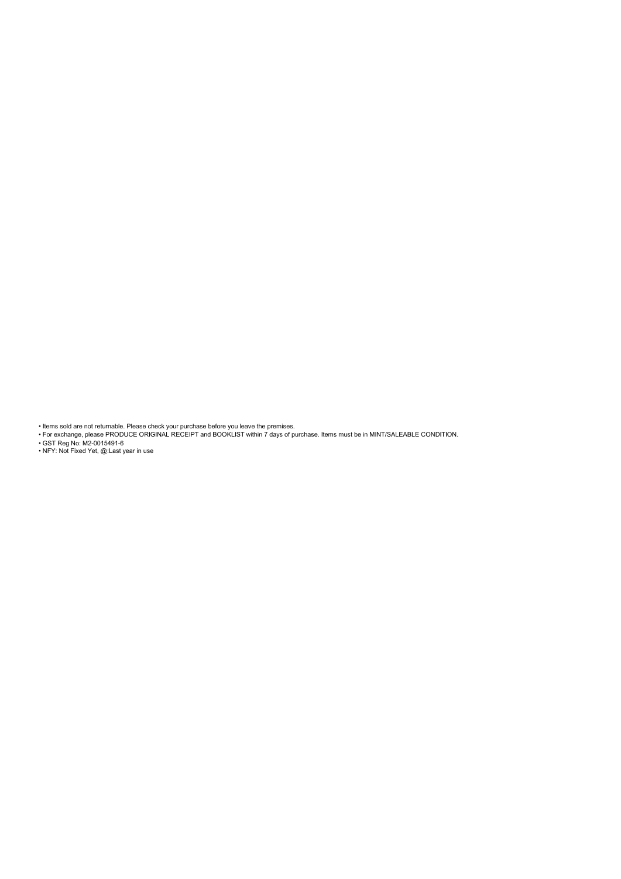• Items sold are not returnable. Please check your purchase before you leave the premises. • For exchange, please PRODUCE ORIGINAL RECEIPT and BOOKLIST within 7 days of purchase. Items must be in MINT/SALEABLE CONDITION.

• GST Reg No: M2-0015491-6 • NFY: Not Fixed Yet, @:Last year in use